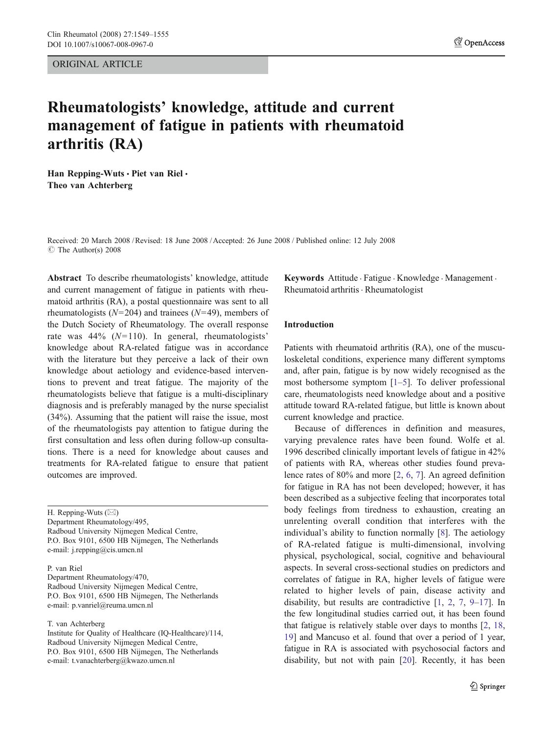ORIGINAL ARTICLE

# *A* OpenAccess

# Rheumatologists*'* knowledge, attitude and current management of fatigue in patients with rheumatoid arthritis (RA)

Han Repping-Wuts · Piet van Riel · Theo van Achterberg

Received: 20 March 2008 /Revised: 18 June 2008 /Accepted: 26 June 2008 / Published online: 12 July 2008  $\circ$  The Author(s) 2008

Abstract To describe rheumatologists' knowledge, attitude and current management of fatigue in patients with rheumatoid arthritis (RA), a postal questionnaire was sent to all rheumatologists ( $N=204$ ) and trainees ( $N=49$ ), members of the Dutch Society of Rheumatology. The overall response rate was  $44\%$  ( $N=110$ ). In general, rheumatologists' knowledge about RA-related fatigue was in accordance with the literature but they perceive a lack of their own knowledge about aetiology and evidence-based interventions to prevent and treat fatigue. The majority of the rheumatologists believe that fatigue is a multi-disciplinary diagnosis and is preferably managed by the nurse specialist (34%). Assuming that the patient will raise the issue, most of the rheumatologists pay attention to fatigue during the first consultation and less often during follow-up consultations. There is a need for knowledge about causes and treatments for RA-related fatigue to ensure that patient outcomes are improved.

H. Repping-Wuts ( $\boxtimes$ ) Department Rheumatology/495, Radboud University Nijmegen Medical Centre, P.O. Box 9101, 6500 HB Nijmegen, The Netherlands e-mail: j.repping@cis.umcn.nl

P. van Riel

Department Rheumatology/470, Radboud University Nijmegen Medical Centre, P.O. Box 9101, 6500 HB Nijmegen, The Netherlands e-mail: p.vanriel@reuma.umcn.nl

T. van Achterberg

Institute for Quality of Healthcare (IQ-Healthcare)/114, Radboud University Nijmegen Medical Centre, P.O. Box 9101, 6500 HB Nijmegen, The Netherlands e-mail: t.vanachterberg@kwazo.umcn.nl

Keywords Attitude . Fatigue . Knowledge . Management . Rheumatoid arthritis. Rheumatologist

# Introduction

Patients with rheumatoid arthritis (RA), one of the musculoskeletal conditions, experience many different symptoms and, after pain, fatigue is by now widely recognised as the most bothersome symptom [[1](#page-6-0)–[5\]](#page-6-0). To deliver professional care, rheumatologists need knowledge about and a positive attitude toward RA-related fatigue, but little is known about current knowledge and practice.

Because of differences in definition and measures, varying prevalence rates have been found. Wolfe et al. 1996 described clinically important levels of fatigue in 42% of patients with RA, whereas other studies found prevalence rates of 80% and more [\[2](#page-6-0), [6,](#page-6-0) [7\]](#page-6-0). An agreed definition for fatigue in RA has not been developed; however, it has been described as a subjective feeling that incorporates total body feelings from tiredness to exhaustion, creating an unrelenting overall condition that interferes with the individual's ability to function normally [[8\]](#page-6-0). The aetiology of RA-related fatigue is multi-dimensional, involving physical, psychological, social, cognitive and behavioural aspects. In several cross-sectional studies on predictors and correlates of fatigue in RA, higher levels of fatigue were related to higher levels of pain, disease activity and disability, but results are contradictive [[1,](#page-6-0) [2,](#page-6-0) [7](#page-6-0), [9](#page-6-0)–[17](#page-6-0)]. In the few longitudinal studies carried out, it has been found that fatigue is relatively stable over days to months [[2,](#page-6-0) [18,](#page-6-0) [19](#page-6-0)] and Mancuso et al. found that over a period of 1 year, fatigue in RA is associated with psychosocial factors and disability, but not with pain [[20\]](#page-6-0). Recently, it has been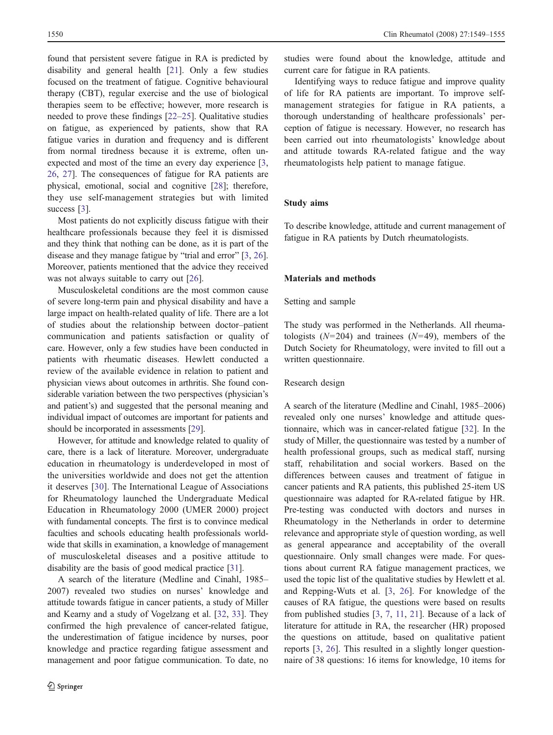found that persistent severe fatigue in RA is predicted by disability and general health [[21\]](#page-6-0). Only a few studies focused on the treatment of fatigue. Cognitive behavioural therapy (CBT), regular exercise and the use of biological therapies seem to be effective; however, more research is needed to prove these findings [[22](#page-6-0)–[25\]](#page-6-0). Qualitative studies on fatigue, as experienced by patients, show that RA fatigue varies in duration and frequency and is different from normal tiredness because it is extreme, often unexpected and most of the time an every day experience [[3,](#page-6-0) [26](#page-6-0), [27\]](#page-6-0). The consequences of fatigue for RA patients are physical, emotional, social and cognitive [\[28](#page-6-0)]; therefore, they use self-management strategies but with limited success [\[3](#page-6-0)].

Most patients do not explicitly discuss fatigue with their healthcare professionals because they feel it is dismissed and they think that nothing can be done, as it is part of the disease and they manage fatigue by "trial and error" [\[3](#page-6-0), [26](#page-6-0)]. Moreover, patients mentioned that the advice they received was not always suitable to carry out [\[26](#page-6-0)].

Musculoskeletal conditions are the most common cause of severe long-term pain and physical disability and have a large impact on health-related quality of life. There are a lot of studies about the relationship between doctor–patient communication and patients satisfaction or quality of care. However, only a few studies have been conducted in patients with rheumatic diseases. Hewlett conducted a review of the available evidence in relation to patient and physician views about outcomes in arthritis. She found considerable variation between the two perspectives (physician's and patient's) and suggested that the personal meaning and individual impact of outcomes are important for patients and should be incorporated in assessments [[29\]](#page-6-0).

However, for attitude and knowledge related to quality of care, there is a lack of literature. Moreover, undergraduate education in rheumatology is underdeveloped in most of the universities worldwide and does not get the attention it deserves [[30](#page-6-0)]. The International League of Associations for Rheumatology launched the Undergraduate Medical Education in Rheumatology 2000 (UMER 2000) project with fundamental concepts. The first is to convince medical faculties and schools educating health professionals worldwide that skills in examination, a knowledge of management of musculoskeletal diseases and a positive attitude to disability are the basis of good medical practice [[31](#page-6-0)].

A search of the literature (Medline and Cinahl, 1985– 2007) revealed two studies on nurses' knowledge and attitude towards fatigue in cancer patients, a study of Miller and Kearny and a study of Vogelzang et al. [\[32](#page-6-0), [33\]](#page-6-0). They confirmed the high prevalence of cancer-related fatigue, the underestimation of fatigue incidence by nurses, poor knowledge and practice regarding fatigue assessment and management and poor fatigue communication. To date, no studies were found about the knowledge, attitude and current care for fatigue in RA patients.

Identifying ways to reduce fatigue and improve quality of life for RA patients are important. To improve selfmanagement strategies for fatigue in RA patients, a thorough understanding of healthcare professionals' perception of fatigue is necessary. However, no research has been carried out into rheumatologists' knowledge about and attitude towards RA-related fatigue and the way rheumatologists help patient to manage fatigue.

# Study aims

To describe knowledge, attitude and current management of fatigue in RA patients by Dutch rheumatologists.

### Materials and methods

Setting and sample

The study was performed in the Netherlands. All rheumatologists  $(N=204)$  and trainees  $(N=49)$ , members of the Dutch Society for Rheumatology, were invited to fill out a written questionnaire.

#### Research design

A search of the literature (Medline and Cinahl, 1985–2006) revealed only one nurses' knowledge and attitude questionnaire, which was in cancer-related fatigue [\[32](#page-6-0)]. In the study of Miller, the questionnaire was tested by a number of health professional groups, such as medical staff, nursing staff, rehabilitation and social workers. Based on the differences between causes and treatment of fatigue in cancer patients and RA patients, this published 25-item US questionnaire was adapted for RA-related fatigue by HR. Pre-testing was conducted with doctors and nurses in Rheumatology in the Netherlands in order to determine relevance and appropriate style of question wording, as well as general appearance and acceptability of the overall questionnaire. Only small changes were made. For questions about current RA fatigue management practices, we used the topic list of the qualitative studies by Hewlett et al. and Repping-Wuts et al. [\[3](#page-6-0), [26\]](#page-6-0). For knowledge of the causes of RA fatigue, the questions were based on results from published studies [[3,](#page-6-0) [7](#page-6-0), [11,](#page-6-0) [21\]](#page-6-0). Because of a lack of literature for attitude in RA, the researcher (HR) proposed the questions on attitude, based on qualitative patient reports [\[3](#page-6-0), [26](#page-6-0)]. This resulted in a slightly longer questionnaire of 38 questions: 16 items for knowledge, 10 items for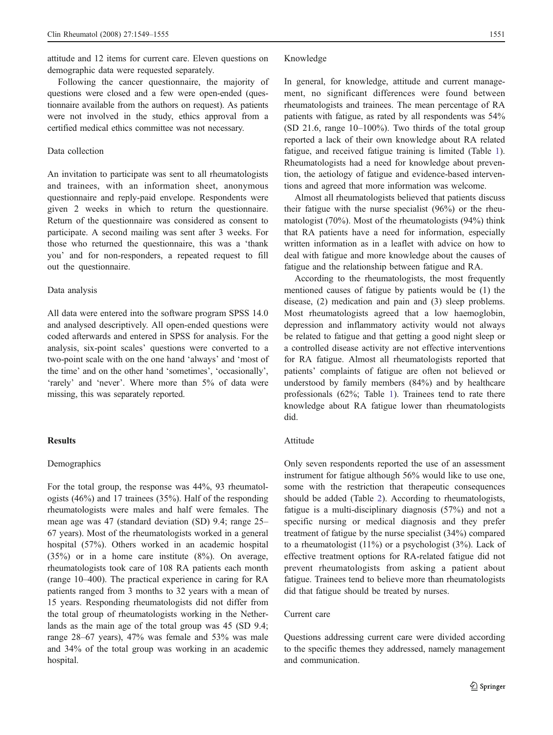attitude and 12 items for current care. Eleven questions on demographic data were requested separately.

Following the cancer questionnaire, the majority of questions were closed and a few were open-ended (questionnaire available from the authors on request). As patients were not involved in the study, ethics approval from a certified medical ethics committee was not necessary.

# Data collection

An invitation to participate was sent to all rheumatologists and trainees, with an information sheet, anonymous questionnaire and reply-paid envelope. Respondents were given 2 weeks in which to return the questionnaire. Return of the questionnaire was considered as consent to participate. A second mailing was sent after 3 weeks. For those who returned the questionnaire, this was a 'thank you' and for non-responders, a repeated request to fill out the questionnaire.

#### Data analysis

All data were entered into the software program SPSS 14.0 and analysed descriptively. All open-ended questions were coded afterwards and entered in SPSS for analysis. For the analysis, six-point scales' questions were converted to a two-point scale with on the one hand 'always' and 'most of the time' and on the other hand 'sometimes', 'occasionally', 'rarely' and 'never'. Where more than 5% of data were missing, this was separately reported.

#### **Results**

#### Demographics

For the total group, the response was 44%, 93 rheumatologists (46%) and 17 trainees (35%). Half of the responding rheumatologists were males and half were females. The mean age was 47 (standard deviation (SD) 9.4; range 25– 67 years). Most of the rheumatologists worked in a general hospital (57%). Others worked in an academic hospital (35%) or in a home care institute (8%). On average, rheumatologists took care of 108 RA patients each month (range 10–400). The practical experience in caring for RA patients ranged from 3 months to 32 years with a mean of 15 years. Responding rheumatologists did not differ from the total group of rheumatologists working in the Netherlands as the main age of the total group was 45 (SD 9.4; range 28–67 years), 47% was female and 53% was male and 34% of the total group was working in an academic hospital.

#### Knowledge

In general, for knowledge, attitude and current management, no significant differences were found between rheumatologists and trainees. The mean percentage of RA patients with fatigue, as rated by all respondents was 54% (SD 21.6, range 10–100%). Two thirds of the total group reported a lack of their own knowledge about RA related fatigue, and received fatigue training is limited (Table [1\)](#page-3-0). Rheumatologists had a need for knowledge about prevention, the aetiology of fatigue and evidence-based interventions and agreed that more information was welcome.

Almost all rheumatologists believed that patients discuss their fatigue with the nurse specialist (96%) or the rheumatologist (70%). Most of the rheumatologists (94%) think that RA patients have a need for information, especially written information as in a leaflet with advice on how to deal with fatigue and more knowledge about the causes of fatigue and the relationship between fatigue and RA.

According to the rheumatologists, the most frequently mentioned causes of fatigue by patients would be (1) the disease, (2) medication and pain and (3) sleep problems. Most rheumatologists agreed that a low haemoglobin, depression and inflammatory activity would not always be related to fatigue and that getting a good night sleep or a controlled disease activity are not effective interventions for RA fatigue. Almost all rheumatologists reported that patients' complaints of fatigue are often not believed or understood by family members (84%) and by healthcare professionals (62%; Table [1](#page-3-0)). Trainees tend to rate there knowledge about RA fatigue lower than rheumatologists did.

#### Attitude

Only seven respondents reported the use of an assessment instrument for fatigue although 56% would like to use one, some with the restriction that therapeutic consequences should be added (Table [2\)](#page-3-0). According to rheumatologists, fatigue is a multi-disciplinary diagnosis (57%) and not a specific nursing or medical diagnosis and they prefer treatment of fatigue by the nurse specialist (34%) compared to a rheumatologist  $(11\%)$  or a psychologist  $(3\%)$ . Lack of effective treatment options for RA-related fatigue did not prevent rheumatologists from asking a patient about fatigue. Trainees tend to believe more than rheumatologists did that fatigue should be treated by nurses.

#### Current care

Questions addressing current care were divided according to the specific themes they addressed, namely management and communication.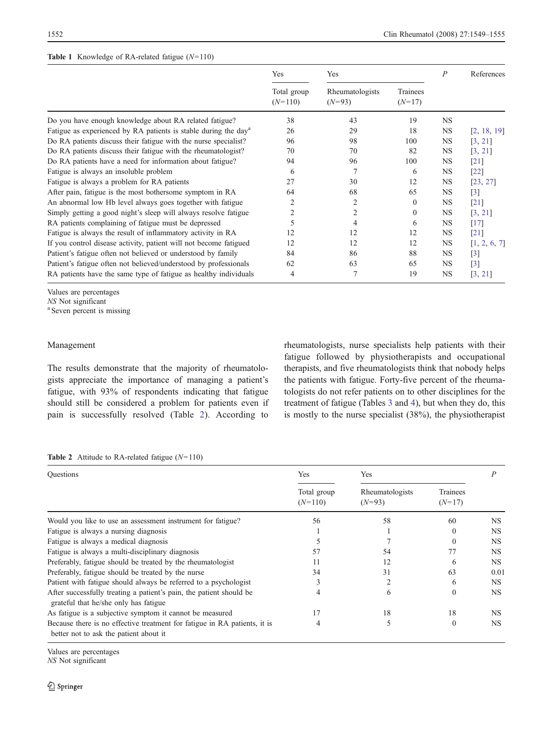### <span id="page-3-0"></span>**Table 1** Knowledge of RA-related fatigue  $(N=110)$

|                                                                             | Yes                      | Yes                         | $\boldsymbol{P}$     | References |                    |
|-----------------------------------------------------------------------------|--------------------------|-----------------------------|----------------------|------------|--------------------|
|                                                                             | Total group<br>$(N=110)$ | Rheumatologists<br>$(N=93)$ | Trainees<br>$(N=17)$ |            |                    |
| Do you have enough knowledge about RA related fatigue?                      | 38                       | 43                          | 19                   | <b>NS</b>  |                    |
| Fatigue as experienced by RA patients is stable during the day <sup>a</sup> | 26                       | 29                          | 18                   | NS.        | [2, 18, 19]        |
| Do RA patients discuss their fatigue with the nurse specialist?             | 96                       | 98                          | 100                  | NS.        | [3, 21]            |
| Do RA patients discuss their fatigue with the rheumatologist?               | 70                       | 70                          | 82                   | NS.        | [3, 21]            |
| Do RA patients have a need for information about fatigue?                   | 94                       | 96                          | 100                  | NS.        | [21]               |
| Fatigue is always an insoluble problem                                      | 6                        | 7                           | 6                    | NS.        | $[22]$             |
| Fatigue is always a problem for RA patients                                 | 27                       | 30                          | 12                   | <b>NS</b>  | [23, 27]           |
| After pain, fatigue is the most bothersome symptom in RA                    | 64                       | 68                          | 65                   | NS.        | $[3]$              |
| An abnormal low Hb level always goes together with fatigue                  | 2                        | 2                           | $\left($             | NS.        | $\lceil 21 \rceil$ |
| Simply getting a good night's sleep will always resolve fatigue             | 2                        | $\mathfrak{2}$              | $\Omega$             | NS.        | [3, 21]            |
| RA patients complaining of fatigue must be depressed                        | 5                        | 4                           | 6                    | NS.        | $[17]$             |
| Fatigue is always the result of inflammatory activity in RA                 | 12                       | 12                          | 12                   | <b>NS</b>  | [21]               |
| If you control disease activity, patient will not become fatigued           | 12                       | 12                          | 12                   | NS.        | [1, 2, 6, 7]       |
| Patient's fatigue often not believed or understood by family                | 84                       | 86                          | 88                   | NS.        | $[3]$              |
| Patient's fatigue often not believed/understood by professionals            | 62                       | 63                          | 65                   | <b>NS</b>  | $\lceil 3 \rceil$  |
| RA patients have the same type of fatigue as healthy individuals            | 4                        | 7                           | 19                   | <b>NS</b>  | [3, 21]            |

Values are percentages

NS Not significant<br><sup>a</sup> Seven percent is missing

# Management

The results demonstrate that the majority of rheumatologists appreciate the importance of managing a patient's fatigue, with 93% of respondents indicating that fatigue should still be considered a problem for patients even if pain is successfully resolved (Table 2). According to rheumatologists, nurse specialists help patients with their fatigue followed by physiotherapists and occupational therapists, and five rheumatologists think that nobody helps the patients with fatigue. Forty-five percent of the rheumatologists do not refer patients on to other disciplines for the treatment of fatigue (Tables [3](#page-4-0) and [4\)](#page-4-0), but when they do, this is mostly to the nurse specialist (38%), the physiotherapist

#### **Table 2** Attitude to RA-related fatigue  $(N=110)$

| <b>Ouestions</b>                                                                                                    | Yes                      | <b>Yes</b>                  |                      | P    |
|---------------------------------------------------------------------------------------------------------------------|--------------------------|-----------------------------|----------------------|------|
|                                                                                                                     | Total group<br>$(N=110)$ | Rheumatologists<br>$(N=93)$ | Trainees<br>$(N=17)$ |      |
| Would you like to use an assessment instrument for fatigue?                                                         | 56                       | 58                          | 60                   | NS.  |
| Fatigue is always a nursing diagnosis                                                                               |                          |                             | $\Omega$             | NS.  |
| Fatigue is always a medical diagnosis                                                                               |                          |                             | $\theta$             | NS.  |
| Fatigue is always a multi-disciplinary diagnosis                                                                    | 57                       | 54                          | 77                   | NS.  |
| Preferably, fatigue should be treated by the rheumatologist                                                         |                          | 12                          | 6                    | NS.  |
| Preferably, fatigue should be treated by the nurse                                                                  | 34                       | 31                          | 63                   | 0.01 |
| Patient with fatigue should always be referred to a psychologist                                                    | 3                        |                             | 6                    | NS.  |
| After successfully treating a patient's pain, the patient should be<br>grateful that he/she only has fatigue        | 4                        | 6                           | $\Omega$             | NS.  |
| As fatigue is a subjective symptom it cannot be measured                                                            | 17                       | 18                          | 18                   | NS.  |
| Because there is no effective treatment for fatigue in RA patients, it is<br>better not to ask the patient about it | 4                        | 5                           | $\Omega$             | NS.  |

Values are percentages

NS Not significant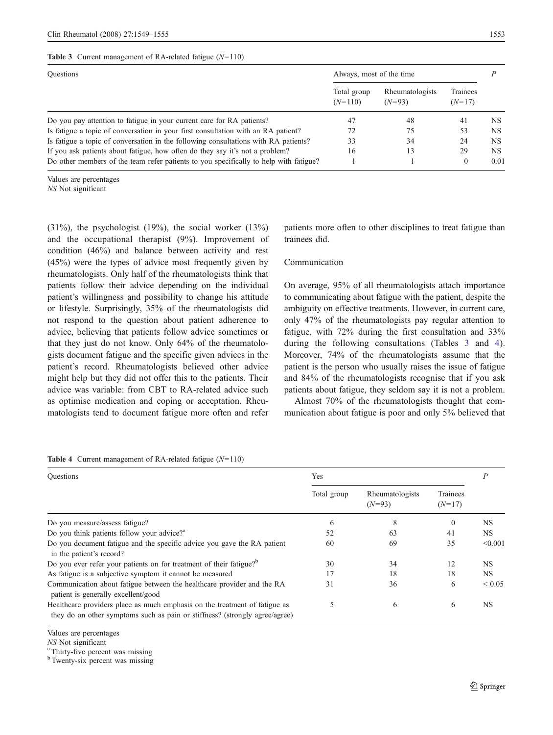#### <span id="page-4-0"></span>Table 3 Current management of RA-related fatigue  $(N=110)$

| <b>Ouestions</b>                                                                      | Always, most of the time |                             |                      |      |
|---------------------------------------------------------------------------------------|--------------------------|-----------------------------|----------------------|------|
|                                                                                       | Total group<br>$(N=110)$ | Rheumatologists<br>$(N=93)$ | Trainees<br>$(N=17)$ |      |
| Do you pay attention to fatigue in your current care for RA patients?                 | 47                       | 48                          | 41                   | NS.  |
| Is fatigue a topic of conversation in your first consultation with an RA patient?     | 72                       | 75                          | 53                   | NS.  |
| Is fatigue a topic of conversation in the following consultations with RA patients?   | 33                       | 34                          | 24                   | NS.  |
| If you ask patients about fatigue, how often do they say it's not a problem?          | 16                       | 13                          | 29                   | NS.  |
| Do other members of the team refer patients to you specifically to help with fatigue? |                          |                             | $\mathbf{0}$         | 0.01 |

Values are percentages

NS Not significant

(31%), the psychologist (19%), the social worker (13%) and the occupational therapist (9%). Improvement of condition (46%) and balance between activity and rest (45%) were the types of advice most frequently given by rheumatologists. Only half of the rheumatologists think that patients follow their advice depending on the individual patient's willingness and possibility to change his attitude or lifestyle. Surprisingly, 35% of the rheumatologists did not respond to the question about patient adherence to advice, believing that patients follow advice sometimes or that they just do not know. Only 64% of the rheumatologists document fatigue and the specific given advices in the patient's record. Rheumatologists believed other advice might help but they did not offer this to the patients. Their advice was variable: from CBT to RA-related advice such as optimise medication and coping or acceptation. Rheumatologists tend to document fatigue more often and refer patients more often to other disciplines to treat fatigue than trainees did.

### Communication

On average, 95% of all rheumatologists attach importance to communicating about fatigue with the patient, despite the ambiguity on effective treatments. However, in current care, only 47% of the rheumatologists pay regular attention to fatigue, with 72% during the first consultation and 33% during the following consultations (Tables 3 and 4). Moreover, 74% of the rheumatologists assume that the patient is the person who usually raises the issue of fatigue and 84% of the rheumatologists recognise that if you ask patients about fatigue, they seldom say it is not a problem.

Almost 70% of the rheumatologists thought that communication about fatigue is poor and only 5% believed that

#### Table 4 Current management of RA-related fatigue  $(N=110)$

| <b>Ouestions</b>                                                                                                                                          | Yes         |                             |                      |            |
|-----------------------------------------------------------------------------------------------------------------------------------------------------------|-------------|-----------------------------|----------------------|------------|
|                                                                                                                                                           | Total group | Rheumatologists<br>$(N=93)$ | Trainees<br>$(N=17)$ |            |
| Do you measure/assess fatigue?                                                                                                                            | 6           | 8                           | $\mathbf{0}$         | <b>NS</b>  |
| Do you think patients follow your advice? <sup>3</sup>                                                                                                    | 52          | 63                          | 41                   | <b>NS</b>  |
| Do you document fatigue and the specific advice you gave the RA patient<br>in the patient's record?                                                       | 60          | 69                          | 35                   | < 0.001    |
| Do you ever refer your patients on for treatment of their fatigue? <sup>b</sup>                                                                           | 30          | 34                          | 12                   | <b>NS</b>  |
| As fatigue is a subjective symptom it cannot be measured                                                                                                  | 17          | 18                          | 18                   | <b>NS</b>  |
| Communication about fatigue between the healthcare provider and the RA<br>patient is generally excellent/good                                             | 31          | 36                          | 6                    | ${}< 0.05$ |
| Healthcare providers place as much emphasis on the treatment of fatigue as<br>they do on other symptoms such as pain or stiffness? (strongly agree/agree) | 5           | 6                           | 6                    | <b>NS</b>  |

Values are percentages<br>
NS Not significant

<sup>b</sup> Twenty-six percent was missing

<sup>&</sup>lt;sup>a</sup> Thirty-five percent was missing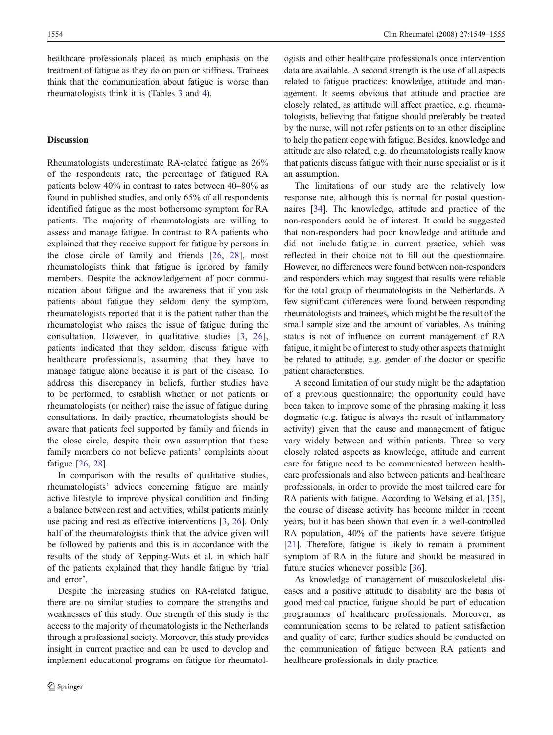healthcare professionals placed as much emphasis on the treatment of fatigue as they do on pain or stiffness. Trainees think that the communication about fatigue is worse than rheumatologists think it is (Tables [3](#page-4-0) and [4\)](#page-4-0).

# **Discussion**

Rheumatologists underestimate RA-related fatigue as 26% of the respondents rate, the percentage of fatigued RA patients below 40% in contrast to rates between 40–80% as found in published studies, and only 65% of all respondents identified fatigue as the most bothersome symptom for RA patients. The majority of rheumatologists are willing to assess and manage fatigue. In contrast to RA patients who explained that they receive support for fatigue by persons in the close circle of family and friends [[26,](#page-6-0) [28\]](#page-6-0), most rheumatologists think that fatigue is ignored by family members. Despite the acknowledgement of poor communication about fatigue and the awareness that if you ask patients about fatigue they seldom deny the symptom, rheumatologists reported that it is the patient rather than the rheumatologist who raises the issue of fatigue during the consultation. However, in qualitative studies [[3,](#page-6-0) [26](#page-6-0)], patients indicated that they seldom discuss fatigue with healthcare professionals, assuming that they have to manage fatigue alone because it is part of the disease. To address this discrepancy in beliefs, further studies have to be performed, to establish whether or not patients or rheumatologists (or neither) raise the issue of fatigue during consultations. In daily practice, rheumatologists should be aware that patients feel supported by family and friends in the close circle, despite their own assumption that these family members do not believe patients' complaints about fatigue [[26,](#page-6-0) [28\]](#page-6-0).

In comparison with the results of qualitative studies, rheumatologists' advices concerning fatigue are mainly active lifestyle to improve physical condition and finding a balance between rest and activities, whilst patients mainly use pacing and rest as effective interventions [\[3](#page-6-0), [26](#page-6-0)]. Only half of the rheumatologists think that the advice given will be followed by patients and this is in accordance with the results of the study of Repping-Wuts et al. in which half of the patients explained that they handle fatigue by 'trial and error'.

Despite the increasing studies on RA-related fatigue, there are no similar studies to compare the strengths and weaknesses of this study. One strength of this study is the access to the majority of rheumatologists in the Netherlands through a professional society. Moreover, this study provides insight in current practice and can be used to develop and implement educational programs on fatigue for rheumatologists and other healthcare professionals once intervention data are available. A second strength is the use of all aspects related to fatigue practices: knowledge, attitude and management. It seems obvious that attitude and practice are closely related, as attitude will affect practice, e.g. rheumatologists, believing that fatigue should preferably be treated by the nurse, will not refer patients on to an other discipline to help the patient cope with fatigue. Besides, knowledge and attitude are also related, e.g. do rheumatologists really know that patients discuss fatigue with their nurse specialist or is it an assumption.

The limitations of our study are the relatively low response rate, although this is normal for postal questionnaires [[34\]](#page-6-0). The knowledge, attitude and practice of the non-responders could be of interest. It could be suggested that non-responders had poor knowledge and attitude and did not include fatigue in current practice, which was reflected in their choice not to fill out the questionnaire. However, no differences were found between non-responders and responders which may suggest that results were reliable for the total group of rheumatologists in the Netherlands. A few significant differences were found between responding rheumatologists and trainees, which might be the result of the small sample size and the amount of variables. As training status is not of influence on current management of RA fatigue, it might be of interest to study other aspects that might be related to attitude, e.g. gender of the doctor or specific patient characteristics.

A second limitation of our study might be the adaptation of a previous questionnaire; the opportunity could have been taken to improve some of the phrasing making it less dogmatic (e.g. fatigue is always the result of inflammatory activity) given that the cause and management of fatigue vary widely between and within patients. Three so very closely related aspects as knowledge, attitude and current care for fatigue need to be communicated between healthcare professionals and also between patients and healthcare professionals, in order to provide the most tailored care for RA patients with fatigue. According to Welsing et al. [[35\]](#page-6-0), the course of disease activity has become milder in recent years, but it has been shown that even in a well-controlled RA population, 40% of the patients have severe fatigue [\[21](#page-6-0)]. Therefore, fatigue is likely to remain a prominent symptom of RA in the future and should be measured in future studies whenever possible [\[36](#page-6-0)].

As knowledge of management of musculoskeletal diseases and a positive attitude to disability are the basis of good medical practice, fatigue should be part of education programmes of healthcare professionals. Moreover, as communication seems to be related to patient satisfaction and quality of care, further studies should be conducted on the communication of fatigue between RA patients and healthcare professionals in daily practice.